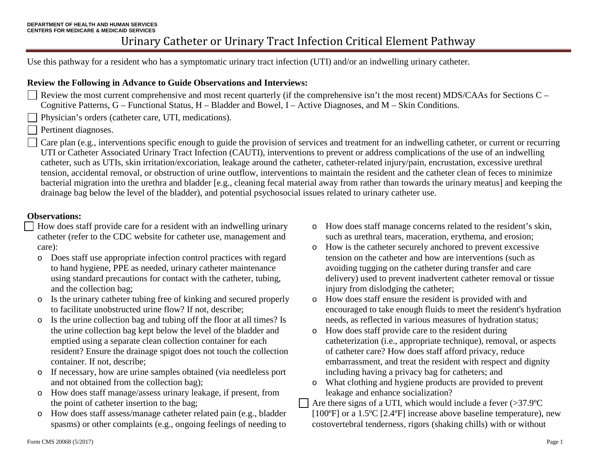Use this pathway for a resident who has a symptomatic urinary tract infection (UTI) and/or an indwelling urinary catheter.

#### **Review the Following in Advance to Guide Observations and Interviews:**

Review the most current comprehensive and most recent quarterly (if the comprehensive isn't the most recent) MDS/CAAs for Sections C – Cognitive Patterns, G – Functional Status, H – Bladder and Bowel, I – Active Diagnoses, and M – Skin Conditions.

Physician's orders (catheter care, UTI, medications).

Pertinent diagnoses.

 $\Box$  Care plan (e.g., interventions specific enough to guide the provision of services and treatment for an indwelling catheter, or current or recurring UTI or Catheter Associated Urinary Tract Infection (CAUTI), interventions to prevent or address complications of the use of an indwelling catheter, such as UTIs, skin irritation/excoriation, leakage around the catheter, catheter-related injury/pain, encrustation, excessive urethral tension, accidental removal, or obstruction of urine outflow, interventions to maintain the resident and the catheter clean of feces to minimize bacterial migration into the urethra and bladder [e.g., cleaning fecal material away from rather than towards the urinary meatus] and keeping the drainage bag below the level of the bladder), and potential psychosocial issues related to urinary catheter use.

#### **Observations:**

- How does staff provide care for a resident with an indwelling urinary catheter (refer to the CDC website for catheter use, management and care):
- o Does staff use appropriate infection control practices with regard to hand hygiene, PPE as needed, urinary catheter maintenance using standard precautions for contact with the catheter, tubing, and the collection bag;
- o Is the urinary catheter tubing free of kinking and secured properly to facilitate unobstructed urine flow? If not, describe;
- o Is the urine collection bag and tubing off the floor at all times? Is the urine collection bag kept below the level of the bladder and emptied using a separate clean collection container for each resident? Ensure the drainage spigot does not touch the collection container. If not, describe;
- o If necessary, how are urine samples obtained (via needleless port and not obtained from the collection bag);
- o How does staff manage/assess urinary leakage, if present, from the point of catheter insertion to the bag;
- o How does staff assess/manage catheter related pain (e.g., bladder spasms) or other complaints (e.g., ongoing feelings of needing to
- o How does staff manage concerns related to the resident's skin, such as urethral tears, maceration, erythema, and erosion;
- o How is the catheter securely anchored to prevent excessive tension on the catheter and how are interventions (such as avoiding tugging on the catheter during transfer and care delivery) used to prevent inadvertent catheter removal or tissue injury from dislodging the catheter;
- o How does staff ensure the resident is provided with and encouraged to take enough fluids to meet the resident's hydration needs, as reflected in various measures of hydration status;
- o How does staff provide care to the resident during catheterization (i.e., appropriate technique), removal, or aspects of catheter care? How does staff afford privacy, reduce embarrassment, and treat the resident with respect and dignity including having a privacy bag for catheters; and
- o What clothing and hygiene products are provided to prevent leakage and enhance socialization?
- Are there signs of a UTI, which would include a fever (>37.9°C) [100ºF] or a 1.5ºC [2.4ºF] increase above baseline temperature), new costovertebral tenderness, rigors (shaking chills) with or without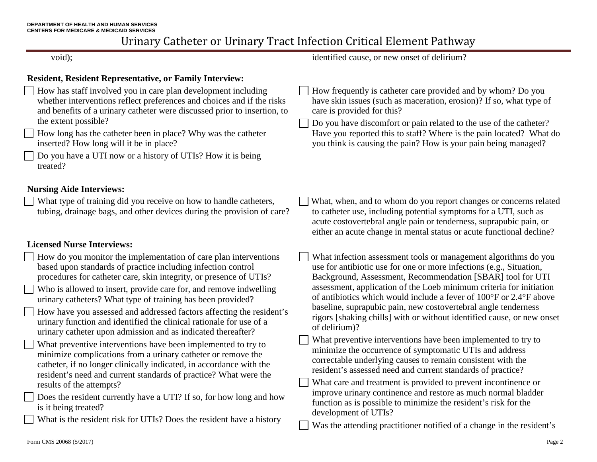### **Resident, Resident Representative, or Family Interview:**

 How has staff involved you in care plan development including whether interventions reflect preferences and choices and if the risks and benefits of a urinary catheter were discussed prior to insertion, to the extent possible?

How long has the catheter been in place? Why was the catheter inserted? How long will it be in place?

 Do you have a UTI now or a history of UTIs? How it is being treated?

#### **Nursing Aide Interviews:**

What type of training did you receive on how to handle catheters, tubing, drainage bags, and other devices during the provision of care?

### **Licensed Nurse Interviews:**

- How do you monitor the implementation of care plan interventions based upon standards of practice including infection control procedures for catheter care, skin integrity, or presence of UTIs?
- Who is allowed to insert, provide care for, and remove indwelling urinary catheters? What type of training has been provided?
- How have you assessed and addressed factors affecting the resident's urinary function and identified the clinical rationale for use of a urinary catheter upon admission and as indicated thereafter?
- What preventive interventions have been implemented to try to minimize complications from a urinary catheter or remove the catheter, if no longer clinically indicated, in accordance with the resident's need and current standards of practice? What were the results of the attempts?
- Does the resident currently have a UTI? If so, for how long and how is it being treated?
- What is the resident risk for UTIs? Does the resident have a history

void); identified cause, or new onset of delirium?

- How frequently is catheter care provided and by whom? Do you have skin issues (such as maceration, erosion)? If so, what type of care is provided for this?
- $\Box$  Do you have discomfort or pain related to the use of the catheter? Have you reported this to staff? Where is the pain located? What do you think is causing the pain? How is your pain being managed?
- What, when, and to whom do you report changes or concerns related to catheter use, including potential symptoms for a UTI, such as acute costovertebral angle pain or tenderness, suprapubic pain, or either an acute change in mental status or acute functional decline?
- What infection assessment tools or management algorithms do you use for antibiotic use for one or more infections (e.g., Situation, Background, Assessment, Recommendation [SBAR] tool for UTI assessment, application of the Loeb minimum criteria for initiation of antibiotics which would include a fever of 100°F or 2.4°F above baseline, suprapubic pain, new costovertebral angle tenderness rigors [shaking chills] with or without identified cause, or new onset of delirium)?
- What preventive interventions have been implemented to try to minimize the occurrence of symptomatic UTIs and address correctable underlying causes to remain consistent with the resident's assessed need and current standards of practice?
- What care and treatment is provided to prevent incontinence or improve urinary continence and restore as much normal bladder function as is possible to minimize the resident's risk for the development of UTIs?
- Was the attending practitioner notified of a change in the resident's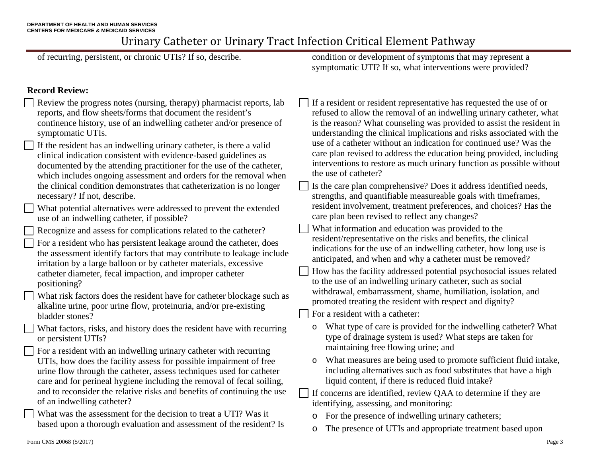of recurring, persistent, or chronic UTIs? If so, describe. condition or development of symptoms that may represent a symptomatic UTI? If so, what interventions were provided? **Record Review:**  Review the progress notes (nursing, therapy) pharmacist reports, lab reports, and flow sheets/forms that document the resident's continence history, use of an indwelling catheter and/or presence of symptomatic UTIs. If the resident has an indwelling urinary catheter, is there a valid clinical indication consistent with evidence-based guidelines as documented by the attending practitioner for the use of the catheter, which includes ongoing assessment and orders for the removal when the clinical condition demonstrates that catheterization is no longer necessary? If not, describe. What potential alternatives were addressed to prevent the extended use of an indwelling catheter, if possible? Recognize and assess for complications related to the catheter? For a resident who has persistent leakage around the catheter, does the assessment identify factors that may contribute to leakage include irritation by a large balloon or by catheter materials, excessive catheter diameter, fecal impaction, and improper catheter positioning? What risk factors does the resident have for catheter blockage such as alkaline urine, poor urine flow, proteinuria, and/or pre-existing bladder stones? What factors, risks, and history does the resident have with recurring or persistent UTIs? For a resident with an indwelling urinary catheter with recurring UTIs, how does the facility assess for possible impairment of free urine flow through the catheter, assess techniques used for catheter care and for perineal hygiene including the removal of fecal soiling, and to reconsider the relative risks and benefits of continuing the use of an indwelling catheter? What was the assessment for the decision to treat a UTI? Was it based upon a thorough evaluation and assessment of the resident? Is If a resident or resident representative has requested the use of or refused to allow the removal of an indwelling urinary catheter, what is the reason? What counseling was provided to assist the resident in understanding the clinical implications and risks associated with the use of a catheter without an indication for continued use? Was the care plan revised to address the education being provided, including interventions to restore as much urinary function as possible without the use of catheter? Is the care plan comprehensive? Does it address identified needs, strengths, and quantifiable measureable goals with timeframes, resident involvement, treatment preferences, and choices? Has the care plan been revised to reflect any changes? What information and education was provided to the resident/representative on the risks and benefits, the clinical indications for the use of an indwelling catheter, how long use is anticipated, and when and why a catheter must be removed? How has the facility addressed potential psychosocial issues related to the use of an indwelling urinary catheter, such as social withdrawal, embarrassment, shame, humiliation, isolation, and promoted treating the resident with respect and dignity? For a resident with a catheter: o What type of care is provided for the indwelling catheter? What type of drainage system is used? What steps are taken for maintaining free flowing urine; and o What measures are being used to promote sufficient fluid intake, including alternatives such as food substitutes that have a high liquid content, if there is reduced fluid intake? If concerns are identified, review QAA to determine if they are identifying, assessing, and monitoring: o For the presence of indwelling urinary catheters; o The presence of UTIs and appropriate treatment based upon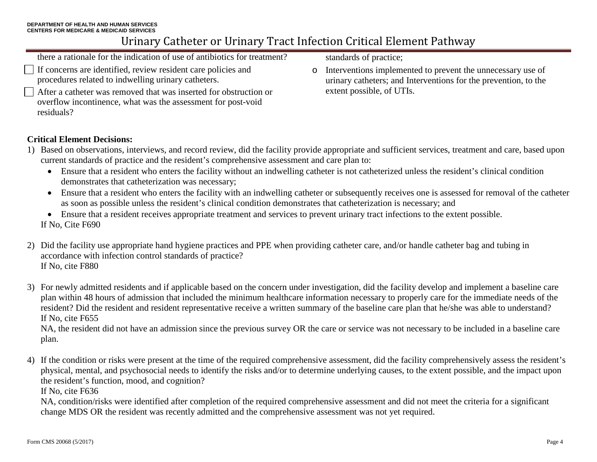- there a rationale for the indication of use of antibiotics for treatment?
- If concerns are identified, review resident care policies and procedures related to indwelling urinary catheters.
- After a catheter was removed that was inserted for obstruction or overflow incontinence, what was the assessment for post-void residuals?

standards of practice;

o Interventions implemented to prevent the unnecessary use of urinary catheters; and Interventions for the prevention, to the extent possible, of UTIs.

## **Critical Element Decisions:**

- 1) Based on observations, interviews, and record review, did the facility provide appropriate and sufficient services, treatment and care, based upon current standards of practice and the resident's comprehensive assessment and care plan to:
	- Ensure that a resident who enters the facility without an indwelling catheter is not catheterized unless the resident's clinical condition demonstrates that catheterization was necessary;
	- Ensure that a resident who enters the facility with an indwelling catheter or subsequently receives one is assessed for removal of the catheter as soon as possible unless the resident's clinical condition demonstrates that catheterization is necessary; and
	- Ensure that a resident receives appropriate treatment and services to prevent urinary tract infections to the extent possible. If No, Cite F690
- 2) Did the facility use appropriate hand hygiene practices and PPE when providing catheter care, and/or handle catheter bag and tubing in accordance with infection control standards of practice? If No, cite F880
- 3) For newly admitted residents and if applicable based on the concern under investigation, did the facility develop and implement a baseline care plan within 48 hours of admission that included the minimum healthcare information necessary to properly care for the immediate needs of the resident? Did the resident and resident representative receive a written summary of the baseline care plan that he/she was able to understand? If No, cite F655

NA, the resident did not have an admission since the previous survey OR the care or service was not necessary to be included in a baseline care plan.

4) If the condition or risks were present at the time of the required comprehensive assessment, did the facility comprehensively assess the resident's physical, mental, and psychosocial needs to identify the risks and/or to determine underlying causes, to the extent possible, and the impact upon the resident's function, mood, and cognition?

If No, cite F636

NA, condition/risks were identified after completion of the required comprehensive assessment and did not meet the criteria for a significant change MDS OR the resident was recently admitted and the comprehensive assessment was not yet required.